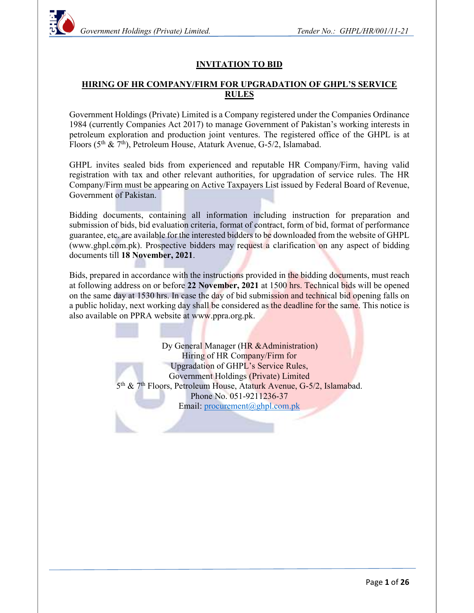

#### INVITATION TO BID

#### HIRING OF HR COMPANY/FIRM FOR UPGRADATION OF GHPL'S SERVICE RULES

Government Holdings (Private) Limited is a Company registered under the Companies Ordinance 1984 (currently Companies Act 2017) to manage Government of Pakistan's working interests in petroleum exploration and production joint ventures. The registered office of the GHPL is at Floors ( $5<sup>th</sup>$  &  $7<sup>th</sup>$ ), Petroleum House, Ataturk Avenue, G-5/2, Islamabad.

GHPL invites sealed bids from experienced and reputable HR Company/Firm, having valid registration with tax and other relevant authorities, for upgradation of service rules. The HR Company/Firm must be appearing on Active Taxpayers List issued by Federal Board of Revenue, Government of Pakistan.

Bidding documents, containing all information including instruction for preparation and submission of bids, bid evaluation criteria, format of contract, form of bid, format of performance guarantee, etc. are available for the interested bidders to be downloaded from the website of GHPL (www.ghpl.com.pk). Prospective bidders may request a clarification on any aspect of bidding documents till 18 November, 2021.<br>Bids, prepared in accordance with the instructions provided in the bidding documents, must reach

at following address on or before 22 November, 2021 at 1500 hrs. Technical bids will be opened on the same day at 1530 hrs. In case the day of bid submission and technical bid opening falls on a public holiday, next working day shall be considered as the deadline for the same. This notice is also available on PPRA website at www.ppra.org.pk.

> Dy General Manager (HR & Administration) Hiring of HR Company/Firm for Upgradation of GHPL's Service Rules, Government Holdings (Private) Limited 5 th & 7th Floors, Petroleum House, Ataturk Avenue, G-5/2, Islamabad. Phone No. 051-9211236-37 Email: procurement@ghpl.com.pk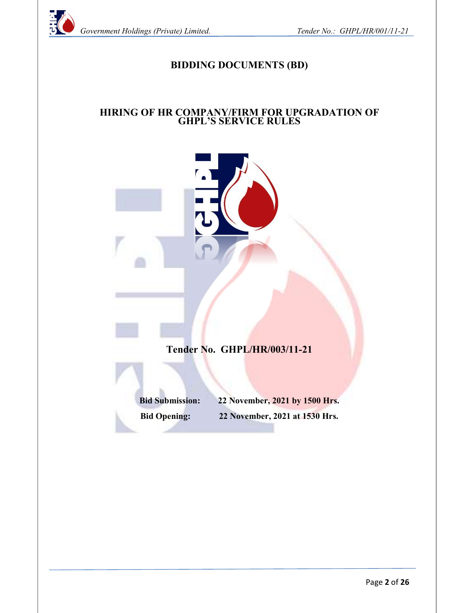

# BIDDING DOCUMENTS (BD)

#### HIRING OF HR COMPANY/FIRM FOR UPGRADATION OF GHPL'S SERVICE RULES

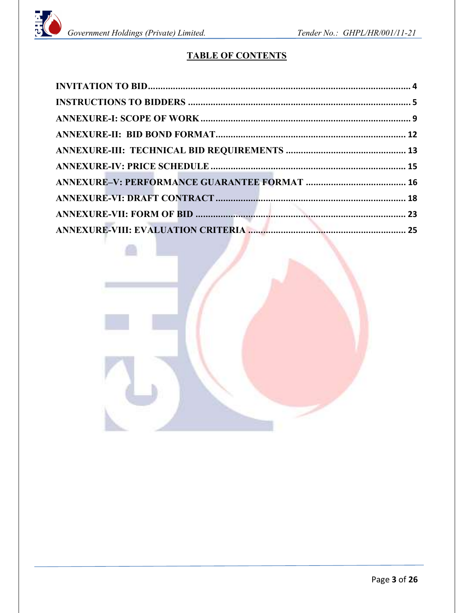

# TABLE OF CONTENTS

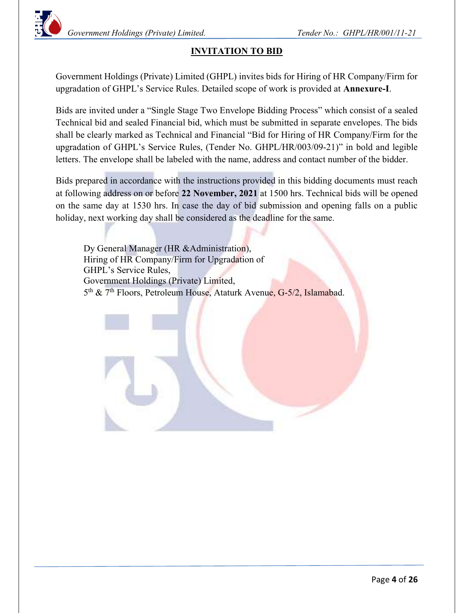# INVITATION TO BID

Government Holdings (Private) Limited (GHPL) invites bids for Hiring of HR Company/Firm for upgradation of GHPL's Service Rules. Detailed scope of work is provided at Annexure-I.

Bids are invited under a "Single Stage Two Envelope Bidding Process" which consist of a sealed Technical bid and sealed Financial bid, which must be submitted in separate envelopes. The bids shall be clearly marked as Technical and Financial "Bid for Hiring of HR Company/Firm for the upgradation of GHPL's Service Rules, (Tender No. GHPL/HR/003/09-21)" in bold and legible letters. The envelope shall be labeled with the name, address and contact number of the bidder.

Bids prepared in accordance with the instructions provided in this bidding documents must reach at following address on or before 22 November, 2021 at 1500 hrs. Technical bids will be opened on the same day at 1530 hrs. In case the day of bid submission and opening falls on a public holiday, next working day shall be considered as the deadline for the same.

Dy General Manager (HR &Administration), Hiring of HR Company/Firm for Upgradation of GHPL's Service Rules, Government Holdings (Private) Limited, 5<sup>th</sup> & 7<sup>th</sup> Floors, Petroleum House, Ataturk Avenue, G-5/2, Islamabad.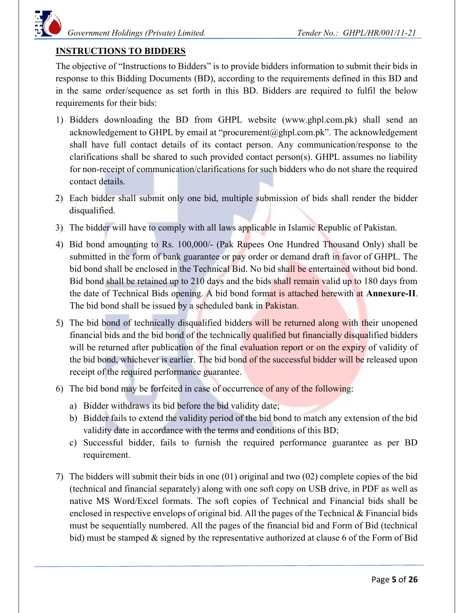

#### INSTRUCTIONS TO BIDDERS

The objective of "Instructions to Bidders" is to provide bidders information to submit their bids in response to this Bidding Documents (BD), according to the requirements defined in this BD and in the same order/sequence as set forth in this BD. Bidders are required to fulfil the below requirements for their bids:

- 1) Bidders downloading the BD from GHPL website (www.ghpl.com.pk) shall send an acknowledgement to GHPL by email at "procurement@ghpl.com.pk". The acknowledgement shall have full contact details of its contact person. Any communication/response to the clarifications shall be shared to such provided contact person(s). GHPL assumes no liability for non-receipt of communication/clarifications for such bidders who do not share the required contact details.
- 2) Each bidder shall submit only one bid, multiple submission of bids shall render the bidder disqualified.
- 3) The bidder will have to comply with all laws applicable in Islamic Republic of Pakistan.
- 4) Bid bond amounting to Rs. 100,000/- (Pak Rupees One Hundred Thousand Only) shall be submitted in the form of bank guarantee or pay order or demand draft in favor of GHPL. The bid bond shall be enclosed in the Technical Bid. No bid shall be entertained without bid bond. Bid bond shall be retained up to 210 days and the bids shall remain valid up to 180 days from the date of Technical Bids opening. A bid bond format is attached herewith at Annexure-II. The bid bond shall be issued by a scheduled bank in **Pakistan.**
- 5) The bid bond of technically disqualified bidders will be returned along with their unopened financial bids and the bid bond of the technically qualified but financially disqualified bidders will be returned after publication of the final evaluation report or on the expiry of validity of the bid bond, whichever is earlier. The bid bond of the successful bidder will be released upon receipt of the required performance guarantee.
- 6) The bid bond may be forfeited in case of occurrence of any of the following:
	- a) Bidder withdraws its bid before the bid validity date;
	- b) Bidder fails to extend the validity period of the bid bond to match any extension of the bid validity date in accordance with the terms and conditions of this BD;
	- c) Successful bidder, fails to furnish the required performance guarantee as per BD requirement.
- 7) The bidders will submit their bids in one (01) original and two (02) complete copies of the bid (technical and financial separately) along with one soft copy on USB drive, in PDF as well as native MS Word/Excel formats. The soft copies of Technical and Financial bids shall be enclosed in respective envelops of original bid. All the pages of the Technical  $\&$  Financial bids must be sequentially numbered. All the pages of the financial bid and Form of Bid (technical bid) must be stamped & signed by the representative authorized at clause 6 of the Form of Bid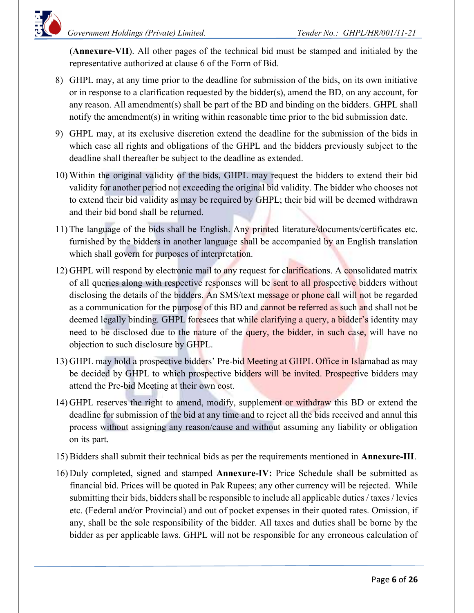(Annexure-VII). All other pages of the technical bid must be stamped and initialed by the representative authorized at clause 6 of the Form of Bid.

- 8) GHPL may, at any time prior to the deadline for submission of the bids, on its own initiative or in response to a clarification requested by the bidder(s), amend the BD, on any account, for any reason. All amendment(s) shall be part of the BD and binding on the bidders. GHPL shall notify the amendment(s) in writing within reasonable time prior to the bid submission date.
- 9) GHPL may, at its exclusive discretion extend the deadline for the submission of the bids in which case all rights and obligations of the GHPL and the bidders previously subject to the deadline shall thereafter be subject to the deadline as extended.
- 10) Within the original validity of the bids, GHPL may request the bidders to extend their bid validity for another period not exceeding the original bid validity. The bidder who chooses not to extend their bid validity as may be required by GHPL; their bid will be deemed withdrawn and their bid bond shall be returned.
- 11) The language of the bids shall be English. Any printed literature/documents/certificates etc. furnished by the bidders in another language shall be accompanied by an English translation which shall govern for purposes of interpretation.
- 12) GHPL will respond by electronic mail to any request for clarifications. A consolidated matrix of all queries along with respective responses will be sent to all prospective bidders without disclosing the details of the bidders. An SMS/text message or phone call will not be regarded as a communication for the purpose of this BD and cannot be referred as such and shall not be deemed legally binding. GHPL foresees that while clarifying a query, a bidder's identity may need to be disclosed due to the nature of the query, the bidder, in such case, will have no objection to such disclosure by GHPL.
- 13) GHPL may hold a prospective bidders' Pre-bid Meeting at GHPL Office in Islamabad as may be decided by GHPL to which prospective bidders will be invited. Prospective bidders may attend the Pre-bid Meeting at their own cost.
- 14) GHPL reserves the right to amend, modify, supplement or withdraw this BD or extend the deadline for submission of the bid at any time and to reject all the bids received and annul this process without assigning any reason/cause and without assuming any liability or obligation on its part.
- 15) Bidders shall submit their technical bids as per the requirements mentioned in Annexure-III.
- 16) Duly completed, signed and stamped Annexure-IV: Price Schedule shall be submitted as financial bid. Prices will be quoted in Pak Rupees; any other currency will be rejected. While submitting their bids, bidders shall be responsible to include all applicable duties / taxes / levies etc. (Federal and/or Provincial) and out of pocket expenses in their quoted rates. Omission, if any, shall be the sole responsibility of the bidder. All taxes and duties shall be borne by the bidder as per applicable laws. GHPL will not be responsible for any erroneous calculation of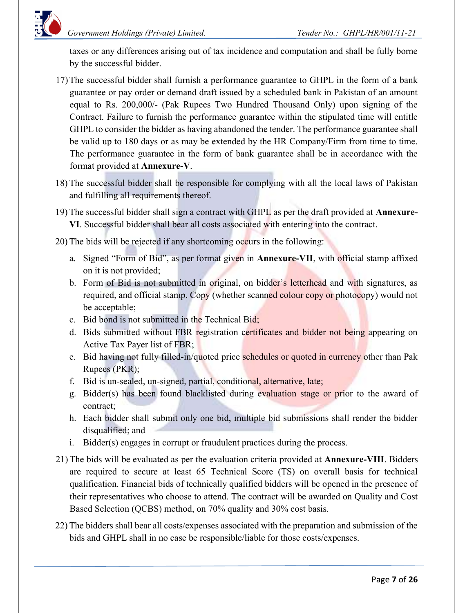taxes or any differences arising out of tax incidence and computation and shall be fully borne by the successful bidder.

- 17)The successful bidder shall furnish a performance guarantee to GHPL in the form of a bank guarantee or pay order or demand draft issued by a scheduled bank in Pakistan of an amount equal to Rs. 200,000/- (Pak Rupees Two Hundred Thousand Only) upon signing of the Contract. Failure to furnish the performance guarantee within the stipulated time will entitle GHPL to consider the bidder as having abandoned the tender. The performance guarantee shall be valid up to 180 days or as may be extended by the HR Company/Firm from time to time. The performance guarantee in the form of bank guarantee shall be in accordance with the format provided at Annexure-V.
- 18) The successful bidder shall be responsible for complying with all the local laws of Pakistan and fulfilling all requirements thereof.
- 19) The successful bidder shall sign a contract with GHPL as per the draft provided at Annexure-VI. Successful bidder shall bear all costs associated with entering into the contract.
- 20) The bids will be rejected if any shortcoming occurs in the following:
	- a. Signed "Form of Bid", as per format given in Annexure-VII, with official stamp affixed on it is not provided;
	- b. Form of Bid is not submitted in original, on bidder's letterhead and with signatures, as required, and official stamp. Copy (whether scanned colour copy or photocopy) would not be acceptable;
	- c. Bid bond is not submitted in the Technical Bid;
	- d. Bids submitted without FBR registration certificates and bidder not being appearing on Active Tax Payer list of FBR;
	- e. Bid having not fully filled-in/quoted price schedules or quoted in currency other than Pak Rupees (PKR);
	- f. Bid is un-sealed, un-signed, partial, conditional, alternative, late;
	- g. Bidder(s) has been found blacklisted during evaluation stage or prior to the award of contract;
	- h. Each bidder shall submit only one bid, multiple bid submissions shall render the bidder disqualified; and
	- i. Bidder(s) engages in corrupt or fraudulent practices during the process.
- 21) The bids will be evaluated as per the evaluation criteria provided at Annexure-VIII. Bidders are required to secure at least 65 Technical Score (TS) on overall basis for technical qualification. Financial bids of technically qualified bidders will be opened in the presence of their representatives who choose to attend. The contract will be awarded on Quality and Cost Based Selection (QCBS) method, on 70% quality and 30% cost basis.
- 22) The bidders shall bear all costs/expenses associated with the preparation and submission of the bids and GHPL shall in no case be responsible/liable for those costs/expenses.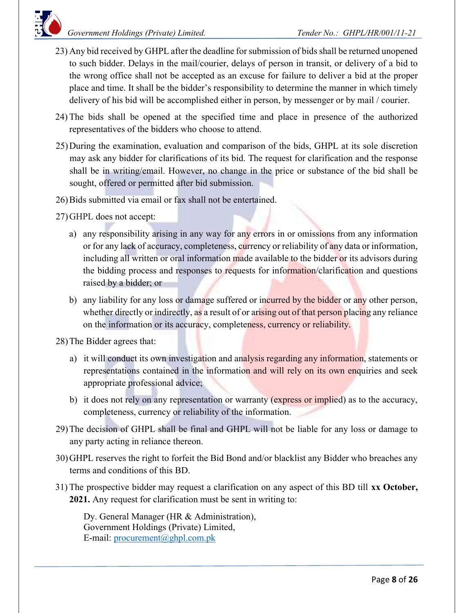

- 23) Any bid received by GHPL after the deadline for submission of bids shall be returned unopened to such bidder. Delays in the mail/courier, delays of person in transit, or delivery of a bid to the wrong office shall not be accepted as an excuse for failure to deliver a bid at the proper place and time. It shall be the bidder's responsibility to determine the manner in which timely delivery of his bid will be accomplished either in person, by messenger or by mail / courier.
- 24) The bids shall be opened at the specified time and place in presence of the authorized representatives of the bidders who choose to attend.
- 25)During the examination, evaluation and comparison of the bids, GHPL at its sole discretion may ask any bidder for clarifications of its bid. The request for clarification and the response shall be in writing/email. However, no change in the price or substance of the bid shall be sought, offered or permitted after bid submission.
- 26)Bids submitted via email or fax shall not be entertained.
- 27)GHPL does not accept:
	- a) any responsibility arising in any way for any errors in or omissions from any information or for any lack of accuracy, completeness, currency or reliability of any data or information, including all written or oral information made available to the bidder or its advisors during the bidding process and responses to requests for information/clarification and questions raised by a bidder; or
	- b) any liability for any loss or damage suffered or incurred by the bidder or any other person, whether directly or indirectly, as a result of or arising out of that person placing any reliance on the information or its accuracy, completeness, currency or reliability.

28)The Bidder agrees that:

- a) it will conduct its own investigation and analysis regarding any information, statements or representations contained in the information and will rely on its own enquiries and seek appropriate professional advice;
- b) it does not rely on any representation or warranty (express or implied) as to the accuracy, completeness, currency or reliability of the information.
- 29)The decision of GHPL shall be final and GHPL will not be liable for any loss or damage to any party acting in reliance thereon.
- 30)GHPL reserves the right to forfeit the Bid Bond and/or blacklist any Bidder who breaches any terms and conditions of this BD.
- 31) The prospective bidder may request a clarification on any aspect of this BD till xx October, 2021. Any request for clarification must be sent in writing to:

Dy. General Manager (HR & Administration), Government Holdings (Private) Limited, E-mail: procurement@ghpl.com.pk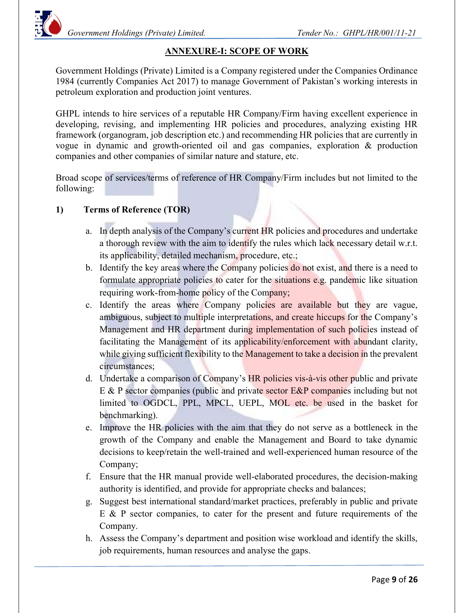

## ANNEXURE-I: SCOPE OF WORK

Government Holdings (Private) Limited is a Company registered under the Companies Ordinance 1984 (currently Companies Act 2017) to manage Government of Pakistan's working interests in petroleum exploration and production joint ventures.

GHPL intends to hire services of a reputable HR Company/Firm having excellent experience in developing, revising, and implementing HR policies and procedures, analyzing existing HR framework (organogram, job description etc.) and recommending HR policies that are currently in vogue in dynamic and growth-oriented oil and gas companies, exploration & production companies and other companies of similar nature and stature, etc.

Broad scope of services/terms of reference of HR Company/Firm includes but not limited to the following:

### 1) Terms of Reference (TOR)

- a. In depth analysis of the Company's current HR policies and procedures and undertake a thorough review with the aim to identify the rules which lack necessary detail w.r.t. its applicability, detailed mechanism, procedure, etc.;
- b. Identify the key areas where the Company policies do not exist, and there is a need to formulate appropriate policies to cater for the situations e.g. pandemic like situation requiring work-from-home policy of the Company;
- c. Identify the areas where Company policies are available but they are vague, ambiguous, subject to multiple interpretations, and create hiccups for the Company's Management and HR department during implementation of such policies instead of facilitating the Management of its applicability/enforcement with abundant clarity, while giving sufficient flexibility to the Management to take a decision in the prevalent circumstances;
- d. Undertake a comparison of Company's HR policies vis-à-vis other public and private E & P sector companies (public and private sector E&P companies including but not limited to OGDCL, PPL, MPCL, UEPL, MOL etc. be used in the basket for benchmarking).
- e. Improve the HR policies with the aim that they do not serve as a bottleneck in the growth of the Company and enable the Management and Board to take dynamic decisions to keep/retain the well-trained and well-experienced human resource of the Company;
- f. Ensure that the HR manual provide well-elaborated procedures, the decision-making authority is identified, and provide for appropriate checks and balances;
- g. Suggest best international standard/market practices, preferably in public and private E & P sector companies, to cater for the present and future requirements of the Company.
- h. Assess the Company's department and position wise workload and identify the skills, job requirements, human resources and analyse the gaps.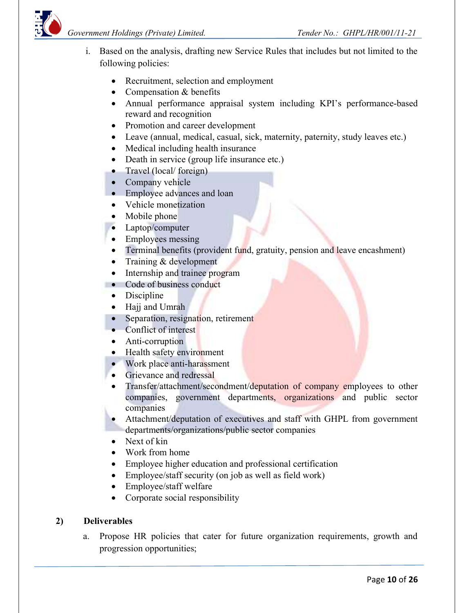



- i. Based on the analysis, drafting new Service Rules that includes but not limited to the following policies:
	- Recruitment, selection and employment
	- Compensation & benefits
	- Annual performance appraisal system including KPI's performance-based reward and recognition
	- Promotion and career development
	- Leave (annual, medical, casual, sick, maternity, paternity, study leaves etc.)
	- Medical including health insurance
	- Death in service (group life insurance etc.)
	- Travel (local/ foreign)
	- Company vehicle
	- Employee advances and loan
	- Vehicle monetization
	- Mobile phone
	- Laptop/computer
	- Employees messing
	- Terminal benefits (provident fund, gratuity, pension and leave encashment)
	- Training & development
	- Internship and trainee program
	- Code of business conduct
		- Discipline
		- Hajj and Umrah
		- Separation, resignation, retirement
		- Conflict of interest
		- Anti-corruption
		- Health safety environment
		- Work place anti-harassment
		- **Grievance and redressal**
		- Transfer/attachment/secondment/deputation of company employees to other companies, government departments, organizations and public sector companies
	- Attachment/deputation of executives and staff with GHPL from government departments/organizations/public sector companies
	- Next of kin
	- Work from home
	- Employee higher education and professional certification
	- Employee/staff security (on job as well as field work)
	- Employee/staff welfare
	- Corporate social responsibility

## 2) Deliverables

a. Propose HR policies that cater for future organization requirements, growth and progression opportunities;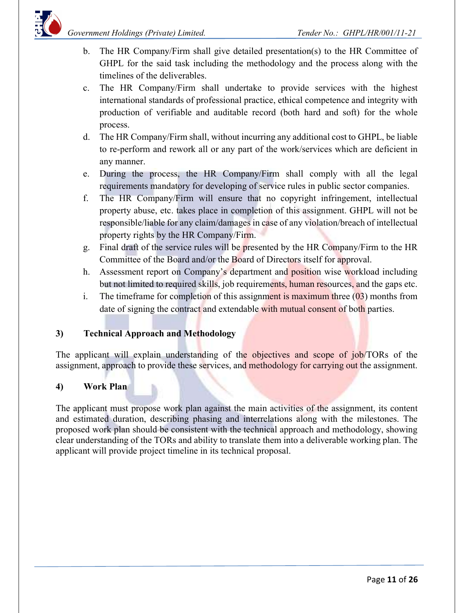- b. The HR Company/Firm shall give detailed presentation(s) to the HR Committee of GHPL for the said task including the methodology and the process along with the timelines of the deliverables.
- c. The HR Company/Firm shall undertake to provide services with the highest international standards of professional practice, ethical competence and integrity with production of verifiable and auditable record (both hard and soft) for the whole process.
- d. The HR Company/Firm shall, without incurring any additional cost to GHPL, be liable to re-perform and rework all or any part of the work/services which are deficient in any manner.
- e. During the process, the HR Company/Firm shall comply with all the legal requirements mandatory for developing of service rules in public sector companies.
- f. The HR Company/Firm will ensure that no copyright infringement, intellectual property abuse, etc. takes place in completion of this assignment. GHPL will not be responsible/liable for any claim/damages in case of any violation/breach of intellectual property rights by the HR Company/Firm.
- g. Final draft of the service rules will be presented by the HR Company/Firm to the HR Committee of the Board and/or the Board of Directors itself for approval.
- h. Assessment report on Company's department and position wise workload including but not limited to required skills, job requirements, human resources, and the gaps etc.
- i. The timeframe for completion of this assignment is maximum three  $(03)$  months from date of signing the contract and extendable with mutual consent of both parties.

## 3) Technical Approach and Methodology

The applicant will explain understanding of the objectives and scope of job/TORs of the assignment, approach to provide these services, and methodology for carrying out the assignment.

#### 4) Work Plan

The applicant must propose work plan against the main activities of the assignment, its content and estimated duration, describing phasing and interrelations along with the milestones. The proposed work plan should be consistent with the technical approach and methodology, showing clear understanding of the TORs and ability to translate them into a deliverable working plan. The applicant will provide project timeline in its technical proposal.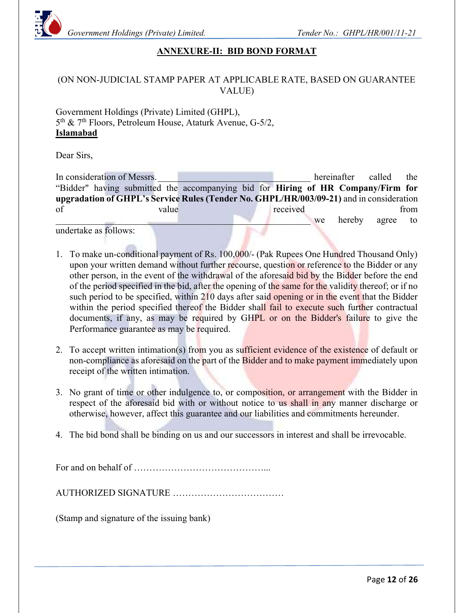

### ANNEXURE-II: BID BOND FORMAT

#### (ON NON-JUDICIAL STAMP PAPER AT APPLICABLE RATE, BASED ON GUARANTEE VALUE)

Government Holdings (Private) Limited (GHPL), 5 th & 7th Floors, Petroleum House, Ataturk Avenue, G-5/2, Islamabad

Dear Sirs,

In consideration of Messrs. The consideration of Messrs. "Bidder" having submitted the accompanying bid for Hiring of HR Company/Firm for upgradation of GHPL's Service Rules (Tender No. GHPL/HR/003/09-21) and in consideration of value value value received from we hereby agree to

undertake as follows:

- 1. To make un-conditional payment of Rs. 100,000/- (Pak Rupees One Hundred Thousand Only) upon your written demand without further recourse, question or reference to the Bidder or any other person, in the event of the withdrawal of the aforesaid bid by the Bidder before the end of the period specified in the bid, after the opening of the same for the validity thereof; or if no such period to be specified, within 210 days after said opening or in the event that the Bidder within the period specified thereof the Bidder shall fail to execute such further contractual documents, if any, as may be required by GHPL or on the Bidder's failure to give the Performance guarantee as may be required.
- 2. To accept written intimation(s) from you as sufficient evidence of the existence of default or non-compliance as aforesaid on the part of the Bidder and to make payment immediately upon receipt of the written intimation.
- 3. No grant of time or other indulgence to, or composition, or arrangement with the Bidder in respect of the aforesaid bid with or without notice to us shall in any manner discharge or otherwise, however, affect this guarantee and our liabilities and commitments hereunder.
- 4. The bid bond shall be binding on us and our successors in interest and shall be irrevocable.

For and on behalf of ……………………………………...

AUTHORIZED SIGNATURE ………………………………

(Stamp and signature of the issuing bank)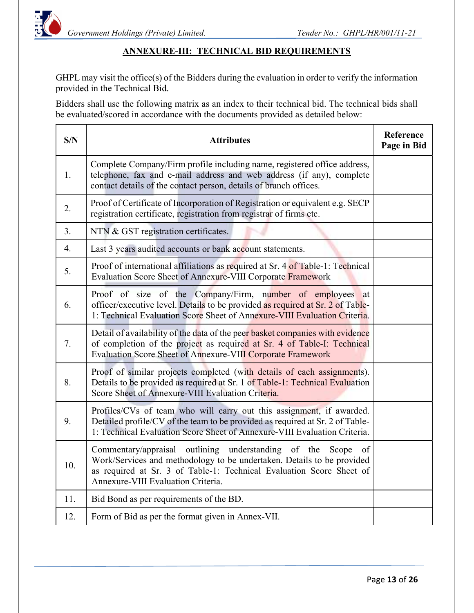

### ANNEXURE-III: TECHNICAL BID REQUIREMENTS

GHPL may visit the office(s) of the Bidders during the evaluation in order to verify the information provided in the Technical Bid.

Bidders shall use the following matrix as an index to their technical bid. The technical bids shall be evaluated/scored in accordance with the documents provided as detailed below:

| S/N              | <b>Attributes</b>                                                                                                                                                                                                                                       | Reference<br>Page in Bid |
|------------------|---------------------------------------------------------------------------------------------------------------------------------------------------------------------------------------------------------------------------------------------------------|--------------------------|
| 1.               | Complete Company/Firm profile including name, registered office address,<br>telephone, fax and e-mail address and web address (if any), complete<br>contact details of the contact person, details of branch offices.                                   |                          |
| 2.               | Proof of Certificate of Incorporation of Registration or equivalent e.g. SECP<br>registration certificate, registration from registrar of firms etc.                                                                                                    |                          |
| 3.               | NTN & GST registration certificates.                                                                                                                                                                                                                    |                          |
| $\overline{4}$ . | Last 3 years audited accounts or bank account statements.                                                                                                                                                                                               |                          |
| 5.               | Proof of international affiliations as required at Sr. 4 of Table-1: Technical<br>Evaluation Score Sheet of Annexure-VIII Corporate Framework                                                                                                           |                          |
| 6.               | Proof of size of the Company/Firm, number of employees at<br>officer/executive level. Details to be provided as required at Sr. 2 of Table-<br>1: Technical Evaluation Score Sheet of Annexure-VIII Evaluation Criteria.                                |                          |
| 7.               | Detail of availability of the data of the peer basket companies with evidence<br>of completion of the project as required at Sr. 4 of Table-I: Technical<br>Evaluation Score Sheet of Annexure-VIII Corporate Framework                                 |                          |
| 8.               | Proof of similar projects completed (with details of each assignments).<br>Details to be provided as required at Sr. 1 of Table-1: Technical Evaluation<br>Score Sheet of Annexure-VIII Evaluation Criteria.                                            |                          |
| 9.               | Profiles/CVs of team who will carry out this assignment, if awarded.<br>Detailed profile/CV of the team to be provided as required at Sr. 2 of Table-<br>1: Technical Evaluation Score Sheet of Annexure-VIII Evaluation Criteria.                      |                          |
| 10.              | Commentary/appraisal outlining understanding of the Scope<br>of<br>Work/Services and methodology to be undertaken. Details to be provided<br>as required at Sr. 3 of Table-1: Technical Evaluation Score Sheet of<br>Annexure-VIII Evaluation Criteria. |                          |
| 11.              | Bid Bond as per requirements of the BD.                                                                                                                                                                                                                 |                          |
| 12.              | Form of Bid as per the format given in Annex-VII.                                                                                                                                                                                                       |                          |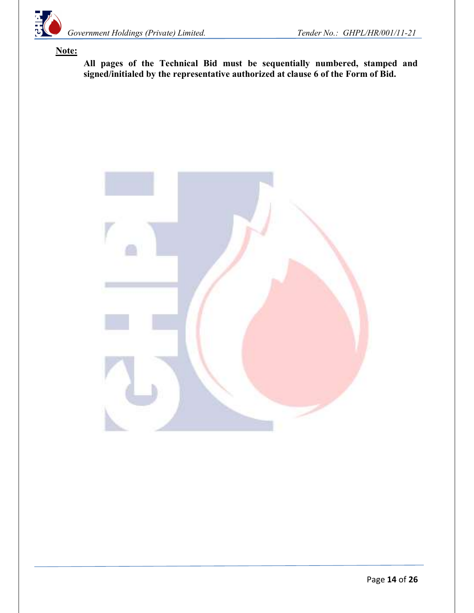

### Note:

All pages of the Technical Bid must be sequentially numbered, stamped and signed/initialed by the representative authorized at clause 6 of the Form of Bid.

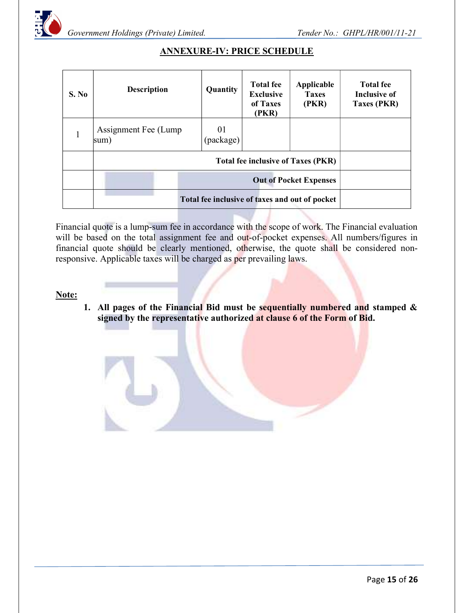

| S. No | <b>Description</b>                             | Quantity        | <b>Total fee</b><br><b>Exclusive</b><br>of Taxes<br>(PKR) | Applicable<br><b>Taxes</b><br>(PKR) | <b>Total fee</b><br>Inclusive of<br><b>Taxes (PKR)</b> |  |  |
|-------|------------------------------------------------|-----------------|-----------------------------------------------------------|-------------------------------------|--------------------------------------------------------|--|--|
| 1     | Assignment Fee (Lump)<br>sum)                  | 01<br>(package) |                                                           |                                     |                                                        |  |  |
|       | <b>Total fee inclusive of Taxes (PKR)</b>      |                 |                                                           |                                     |                                                        |  |  |
|       | <b>Out of Pocket Expenses</b>                  |                 |                                                           |                                     |                                                        |  |  |
|       | Total fee inclusive of taxes and out of pocket |                 |                                                           |                                     |                                                        |  |  |

## ANNEXURE-IV: PRICE SCHEDULE

Financial quote is a lump-sum fee in accordance with the scope of work. The Financial evaluation will be based on the total assignment fee and out-of-pocket expenses. All numbers/figures in financial quote should be clearly mentioned, otherwise, the quote shall be considered nonresponsive. Applicable taxes will be charged as per prevailing laws.

#### Note:

1. All pages of the Financial Bid must be sequentially numbered and stamped  $\&$ signed by the representative authorized at clause 6 of the Form of Bid.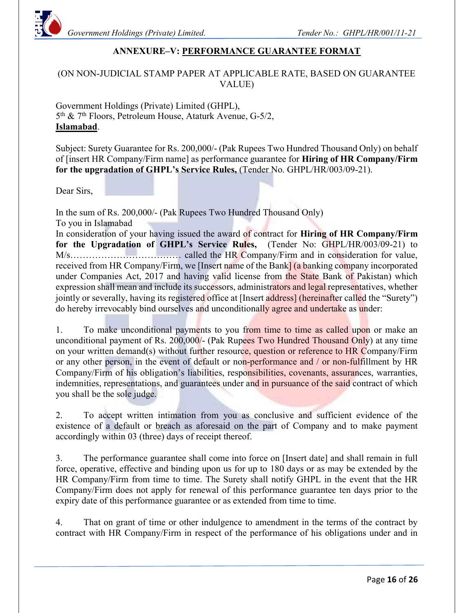

### ANNEXURE–V: PERFORMANCE GUARANTEE FORMAT

#### (ON NON-JUDICIAL STAMP PAPER AT APPLICABLE RATE, BASED ON GUARANTEE VALUE)

Government Holdings (Private) Limited (GHPL), 5<sup>th</sup> & 7<sup>th</sup> Floors, Petroleum House, Ataturk Avenue, G-5/2, Islamabad.

Subject: Surety Guarantee for Rs. 200,000/- (Pak Rupees Two Hundred Thousand Only) on behalf of [insert HR Company/Firm name] as performance guarantee for Hiring of HR Company/Firm for the upgradation of GHPL's Service Rules, (Tender No. GHPL/HR/003/09-21).

Dear Sirs,

In the sum of Rs. 200,000/- (Pak Rupees Two Hundred Thousand Only) To you in Islamabad In consideration of your having issued the award of contract for Hiring of HR Company/Firm for the Upgradation of GHPL's Service Rules, (Tender No: GHPL/HR/003/09-21) to M/s……………………………… called the HR Company/Firm and in consideration for value, received from HR Company/Firm, we [Insert name of the Bank] (a banking company incorporated under Companies Act, 2017 and having valid license from the State Bank of Pakistan) which expression shall mean and include its successors, administrators and legal representatives, whether jointly or severally, having its registered office at [Insert address] (hereinafter called the "Surety") do hereby irrevocably bind ourselves and unconditionally agree and undertake as under:

1. To make unconditional payments to you from time to time as called upon or make an unconditional payment of Rs. 200,000/- (Pak Rupees Two Hundred Thousand Only) at any time on your written demand(s) without further resource, question or reference to HR Company/Firm or any other person, in the event of default or non-performance and / or non-fulfillment by HR Company/Firm of his obligation's liabilities, responsibilities, covenants, assurances, warranties, indemnities, representations, and guarantees under and in pursuance of the said contract of which you shall be the sole judge.

2. To accept written intimation from you as conclusive and sufficient evidence of the existence of a default or breach as aforesaid on the part of Company and to make payment accordingly within 03 (three) days of receipt thereof.

3. The performance guarantee shall come into force on [Insert date] and shall remain in full force, operative, effective and binding upon us for up to 180 days or as may be extended by the HR Company/Firm from time to time. The Surety shall notify GHPL in the event that the HR Company/Firm does not apply for renewal of this performance guarantee ten days prior to the expiry date of this performance guarantee or as extended from time to time.

4. That on grant of time or other indulgence to amendment in the terms of the contract by contract with HR Company/Firm in respect of the performance of his obligations under and in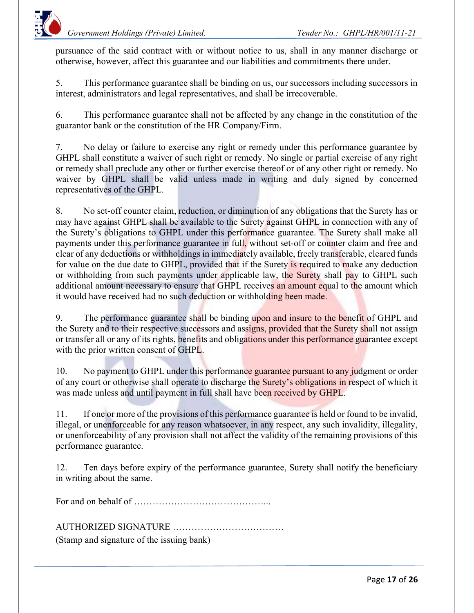pursuance of the said contract with or without notice to us, shall in any manner discharge or otherwise, however, affect this guarantee and our liabilities and commitments there under.

5. This performance guarantee shall be binding on us, our successors including successors in interest, administrators and legal representatives, and shall be irrecoverable.

6. This performance guarantee shall not be affected by any change in the constitution of the guarantor bank or the constitution of the HR Company/Firm.

7. No delay or failure to exercise any right or remedy under this performance guarantee by GHPL shall constitute a waiver of such right or remedy. No single or partial exercise of any right or remedy shall preclude any other or further exercise thereof or of any other right or remedy. No waiver by GHPL shall be valid unless made in writing and duly signed by concerned representatives of the GHPL.

8. No set-off counter claim, reduction, or diminution of any obligations that the Surety has or may have against GHPL shall be available to the Surety against GHPL in connection with any of the Surety's obligations to GHPL under this performance guarantee. The Surety shall make all payments under this performance guarantee in full, without set-off or counter claim and free and clear of any deductions or withholdings in immediately available, freely transferable, cleared funds for value on the due date to GHPL, provided that if the Surety is required to make any deduction or withholding from such payments under applicable law, the Surety shall pay to GHPL such additional amount necessary to ensure that GHPL receives an amount equal to the amount which it would have received had no such deduction or withholding been made.

9. The performance guarantee shall be binding upon and insure to the benefit of GHPL and the Surety and to their respective successors and assigns, provided that the Surety shall not assign or transfer all or any of its rights, benefits and obligations under this performance guarantee except with the prior written consent of GHPL.

10. No payment to GHPL under this performance guarantee pursuant to any judgment or order of any court or otherwise shall operate to discharge the Surety's obligations in respect of which it was made unless and until payment in full shall have been received by GHPL.

11. If one or more of the provisions of this performance guarantee is held or found to be invalid, illegal, or unenforceable for any reason whatsoever, in any respect, any such invalidity, illegality, or unenforceability of any provision shall not affect the validity of the remaining provisions of this performance guarantee.

12. Ten days before expiry of the performance guarantee, Surety shall notify the beneficiary in writing about the same.

For and on behalf of ……………………………………...

AUTHORIZED SIGNATURE ………………………………

(Stamp and signature of the issuing bank)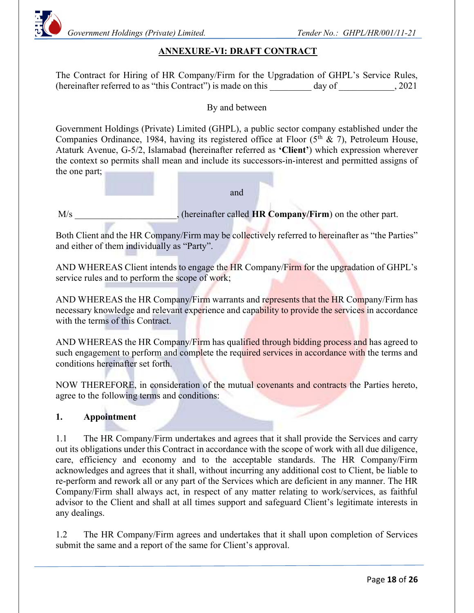

### ANNEXURE-VI: DRAFT CONTRACT

The Contract for Hiring of HR Company/Firm for the Upgradation of GHPL's Service Rules, (hereinafter referred to as "this Contract") is made on this day of  $\qquad \qquad$ , 2021

By and between

Government Holdings (Private) Limited (GHPL), a public sector company established under the Companies Ordinance, 1984, having its registered office at Floor  $(5<sup>th</sup> & 7)$ , Petroleum House, Ataturk Avenue, G-5/2, Islamabad (hereinafter referred as 'Client') which expression wherever the context so permits shall mean and include its successors-in-interest and permitted assigns of the one part;

and

M/s (hereinafter called HR Company/Firm) on the other part.

Both Client and the HR Company/Firm may be collectively referred to hereinafter as "the Parties" and either of them individually as "Party".

AND WHEREAS Client intends to engage the HR Company/Firm for the upgradation of GHPL's service rules and to perform the scope of work;

AND WHEREAS the HR Company/Firm warrants and represents that the HR Company/Firm has necessary knowledge and relevant experience and capability to provide the services in accordance with the terms of this Contract.

AND WHEREAS the HR Company/Firm has qualified through bidding process and has agreed to such engagement to perform and complete the required services in accordance with the terms and conditions hereinafter set forth.

NOW THEREFORE, in consideration of the mutual covenants and contracts the Parties hereto, agree to the following terms and conditions:

#### 1. Appointment

1.1 The HR Company/Firm undertakes and agrees that it shall provide the Services and carry out its obligations under this Contract in accordance with the scope of work with all due diligence, care, efficiency and economy and to the acceptable standards. The HR Company/Firm acknowledges and agrees that it shall, without incurring any additional cost to Client, be liable to re-perform and rework all or any part of the Services which are deficient in any manner. The HR Company/Firm shall always act, in respect of any matter relating to work/services, as faithful advisor to the Client and shall at all times support and safeguard Client's legitimate interests in any dealings.

1.2 The HR Company/Firm agrees and undertakes that it shall upon completion of Services submit the same and a report of the same for Client's approval.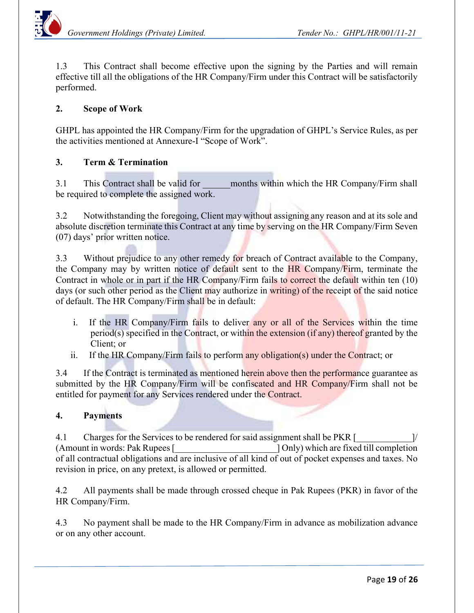1.3 This Contract shall become effective upon the signing by the Parties and will remain effective till all the obligations of the HR Company/Firm under this Contract will be satisfactorily performed.

### 2. Scope of Work

GHPL has appointed the HR Company/Firm for the upgradation of GHPL's Service Rules, as per the activities mentioned at Annexure-I "Scope of Work".

#### 3. Term & Termination

3.1 This Contract shall be valid for months within which the HR Company/Firm shall be required to complete the assigned work.

3.2 Notwithstanding the foregoing, Client may without assigning any reason and at its sole and absolute discretion terminate this Contract at any time by serving on the HR Company/Firm Seven (07) days' prior written notice.

3.3 Without prejudice to any other remedy for breach of Contract available to the Company, the Company may by written notice of default sent to the HR Company/Firm, terminate the Contract in whole or in part if the HR Company/Firm fails to correct the default within ten (10) days (or such other period as the Client may authorize in writing) of the receipt of the said notice of default. The HR Company/Firm shall be in default:

- i. If the HR Company/Firm fails to deliver any or all of the Services within the time period(s) specified in the Contract, or within the extension (if any) thereof granted by the Client; or
- ii. If the HR Company/Firm fails to perform any obligation(s) under the Contract; or

3.4 If the Contract is terminated as mentioned herein above then the performance guarantee as submitted by the HR Company/Firm will be confiscated and HR Company/Firm shall not be entitled for payment for any Services rendered under the Contract.

#### 4. Payments

4.1 Charges for the Services to be rendered for said assignment shall be PKR [ (Amount in words: Pak Rupees [\_\_\_\_\_\_\_\_\_\_\_\_\_\_\_\_\_\_\_\_\_\_] Only) which are fixed till completion of all contractual obligations and are inclusive of all kind of out of pocket expenses and taxes. No revision in price, on any pretext, is allowed or permitted.

4.2 All payments shall be made through crossed cheque in Pak Rupees (PKR) in favor of the HR Company/Firm.

4.3 No payment shall be made to the HR Company/Firm in advance as mobilization advance or on any other account.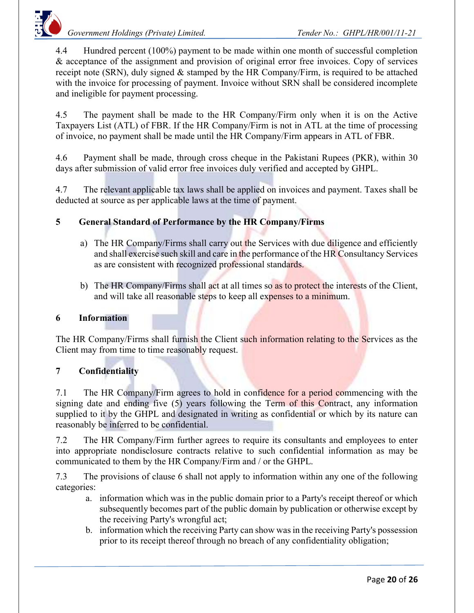Government Holdings (Private) Limited. Tender No.: GHPL/HR/001/11-21



4.4 Hundred percent (100%) payment to be made within one month of successful completion & acceptance of the assignment and provision of original error free invoices. Copy of services receipt note (SRN), duly signed & stamped by the HR Company/Firm, is required to be attached with the invoice for processing of payment. Invoice without SRN shall be considered incomplete and ineligible for payment processing.

4.5 The payment shall be made to the HR Company/Firm only when it is on the Active Taxpayers List (ATL) of FBR. If the HR Company/Firm is not in ATL at the time of processing of invoice, no payment shall be made until the HR Company/Firm appears in ATL of FBR.

4.6 Payment shall be made, through cross cheque in the Pakistani Rupees (PKR), within 30 days after submission of valid error free invoices duly verified and accepted by GHPL.

4.7 The relevant applicable tax laws shall be applied on invoices and payment. Taxes shall be deducted at source as per applicable laws at the time of payment.

## 5 General Standard of Performance by the HR Company/Firms

- a) The HR Company/Firms shall carry out the Services with due diligence and efficiently and shall exercise such skill and care in the performance of the HR Consultancy Services as are consistent with recognized professional standards.
- b) The HR Company/Firms shall act at all times so as to protect the interests of the Client, and will take all reasonable steps to keep all expenses to a minimum.

#### 6 Information

The HR Company/Firms shall furnish the Client such information relating to the Services as the Client may from time to time reasonably request.

#### 7 Confidentiality

7.1 The HR Company/Firm agrees to hold in confidence for a period commencing with the signing date and ending five (5) years following the Term of this Contract, any information supplied to it by the GHPL and designated in writing as confidential or which by its nature can reasonably be inferred to be confidential.

7.2 The HR Company/Firm further agrees to require its consultants and employees to enter into appropriate nondisclosure contracts relative to such confidential information as may be communicated to them by the HR Company/Firm and / or the GHPL.

7.3 The provisions of clause 6 shall not apply to information within any one of the following categories:

- a. information which was in the public domain prior to a Party's receipt thereof or which subsequently becomes part of the public domain by publication or otherwise except by the receiving Party's wrongful act;
- b. information which the receiving Party can show was in the receiving Party's possession prior to its receipt thereof through no breach of any confidentiality obligation;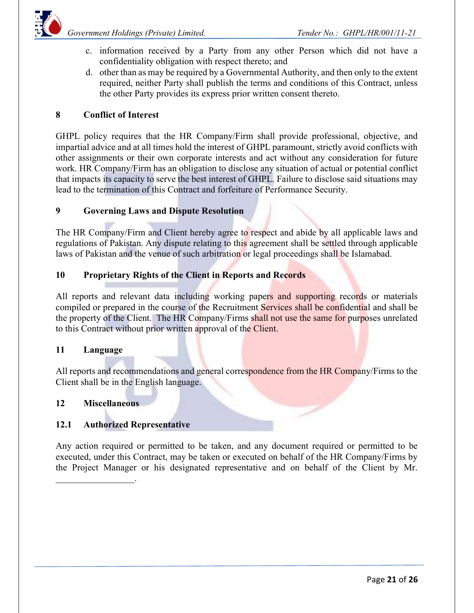

- c. information received by a Party from any other Person which did not have a confidentiality obligation with respect thereto; and
- d. other than as may be required by a Governmental Authority, and then only to the extent required, neither Party shall publish the terms and conditions of this Contract, unless the other Party provides its express prior written consent thereto.

### 8 Conflict of Interest

GHPL policy requires that the HR Company/Firm shall provide professional, objective, and impartial advice and at all times hold the interest of GHPL paramount, strictly avoid conflicts with other assignments or their own corporate interests and act without any consideration for future work. HR Company/Firm has an obligation to disclose any situation of actual or potential conflict that impacts its capacity to serve the best interest of GHPL. Failure to disclose said situations may lead to the termination of this Contract and forfeiture of Performance Security.

#### 9 Governing Laws and Dispute Resolution

The HR Company/Firm and Client hereby agree to respect and abide by all applicable laws and regulations of Pakistan. Any dispute relating to this agreement shall be settled through applicable laws of Pakistan and the venue of such arbitration or legal proceedings shall be Islamabad.

#### 10 Proprietary Rights of the Client in Reports and Records

All reports and relevant data including working papers and supporting records or materials compiled or prepared in the course of the Recruitment Services shall be confidential and shall be the property of the Client. The HR Company/Firms shall not use the same for purposes unrelated to this Contract without prior written approval of the Client.

#### 11 Language

All reports and recommendations and general correspondence from the HR Company/Firms to the Client shall be in the English language.

#### 12 Miscellaneous

 $\mathcal{L}$ 

#### 12.1 Authorized Representative

Any action required or permitted to be taken, and any document required or permitted to be executed, under this Contract, may be taken or executed on behalf of the HR Company/Firms by the Project Manager or his designated representative and on behalf of the Client by Mr.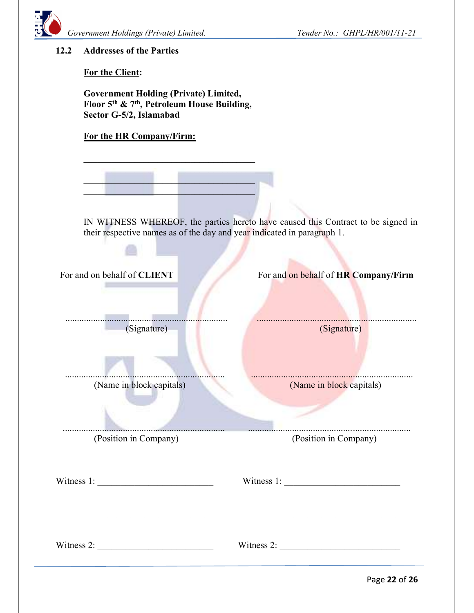

#### 12.2 Addresses of the Parties

For the Client:

Government Holding (Private) Limited, Floor 5th & 7th, Petroleum House Building, Sector G-5/2, Islamabad

### For the HR Company/Firm:

 $\mathcal{L}_\text{max}$  . The sequence of the sequence of the sequence of the sequence of the sequence of the sequence of the sequence of the sequence of the sequence of the sequence of the sequence of the sequence of the sequence  $\mathcal{L}_\text{max}$  and  $\mathcal{L}_\text{max}$  and  $\mathcal{L}_\text{max}$  and  $\mathcal{L}_\text{max}$  $\mathcal{L}_\text{max}$  and  $\mathcal{L}_\text{max}$  and  $\mathcal{L}_\text{max}$  are the set of the set of the set of the set of the set of the set of the set of the set of the set of the set of the set of the set of the set of the set of the set of th

> IN WITNESS WHEREOF, the parties hereto have caused this Contract to be signed in their respective names as of the day and year indicated in paragraph 1.

| For and on behalf of CLIENT<br>. | For and on behalf of HR Company/Firm |
|----------------------------------|--------------------------------------|
| (Signature)                      | (Signature)                          |
| (Name in block capitals)         | (Name in block capitals)             |
| (Position in Company)            | (Position in Company)                |
| Witness $1:$                     |                                      |
| Witness 2: $\frac{1}{2}$         | Witness 2: $\frac{1}{2}$             |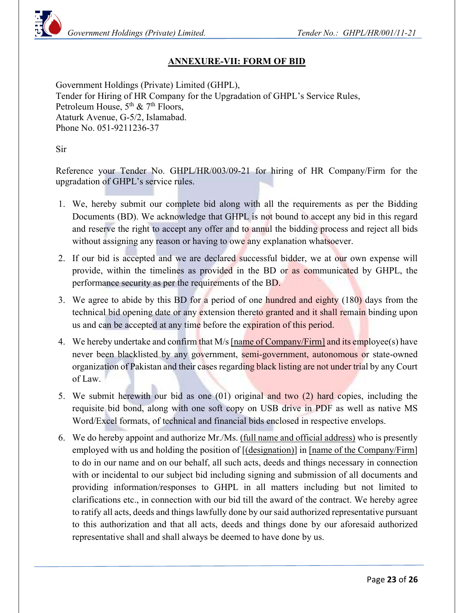

### ANNEXURE-VII: FORM OF BID

Government Holdings (Private) Limited (GHPL), Tender for Hiring of HR Company for the Upgradation of GHPL's Service Rules, Petroleum House,  $5<sup>th</sup>$  &  $7<sup>th</sup>$  Floors, Ataturk Avenue, G-5/2, Islamabad. Phone No. 051-9211236-37

Sir

Reference your Tender No. GHPL/HR/003/09-21 for hiring of HR Company/Firm for the upgradation of GHPL's service rules.

- 1. We, hereby submit our complete bid along with all the requirements as per the Bidding Documents (BD). We acknowledge that GHPL is not bound to accept any bid in this regard and reserve the right to accept any offer and to annul the bidding process and reject all bids without assigning any reason or having to owe any explanation whatsoever.
- 2. If our bid is accepted and we are declared successful bidder, we at our own expense will provide, within the timelines as provided in the BD or as communicated by GHPL, the performance security as per the requirements of the BD.
- 3. We agree to abide by this BD for a period of one hundred and eighty (180) days from the technical bid opening date or any extension thereto granted and it shall remain binding upon us and can be accepted at any time before the expiration of this period.
- 4. We hereby undertake and confirm that M/s [name of Company/Firm] and its employee(s) have never been blacklisted by any government, semi-government, autonomous or state-owned organization of Pakistan and their cases regarding black listing are not under trial by any Court of Law.
- 5. We submit herewith our bid as one (01) original and two (2) hard copies, including the requisite bid bond, along with one soft copy on USB drive in PDF as well as native MS Word/Excel formats, of technical and financial bids enclosed in respective envelops.
- 6. We do hereby appoint and authorize Mr./Ms. (full name and official address) who is presently employed with us and holding the position of  $[(\text{designation})]$  in [name of the Company/Firm] to do in our name and on our behalf, all such acts, deeds and things necessary in connection with or incidental to our subject bid including signing and submission of all documents and providing information/responses to GHPL in all matters including but not limited to clarifications etc., in connection with our bid till the award of the contract. We hereby agree to ratify all acts, deeds and things lawfully done by our said authorized representative pursuant to this authorization and that all acts, deeds and things done by our aforesaid authorized representative shall and shall always be deemed to have done by us.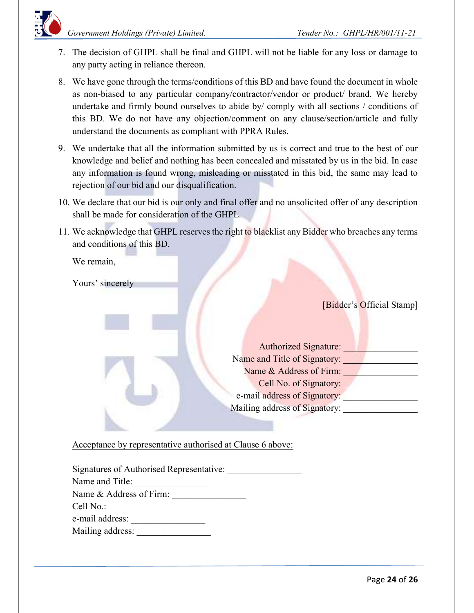

- 7. The decision of GHPL shall be final and GHPL will not be liable for any loss or damage to any party acting in reliance thereon.
- 8. We have gone through the terms/conditions of this BD and have found the document in whole as non-biased to any particular company/contractor/vendor or product/ brand. We hereby undertake and firmly bound ourselves to abide by/ comply with all sections / conditions of this BD. We do not have any objection/comment on any clause/section/article and fully understand the documents as compliant with PPRA Rules.
- 9. We undertake that all the information submitted by us is correct and true to the best of our knowledge and belief and nothing has been concealed and misstated by us in the bid. In case any information is found wrong, misleading or misstated in this bid, the same may lead to rejection of our bid and our disqualification.
- 10. We declare that our bid is our only and final offer and no unsolicited offer of any description shall be made for consideration of the GHPL.
- 11. We acknowledge that GHPL reserves the right to blacklist any Bidder who breaches any terms and conditions of this BD.

We remain,

Yours' sincerely

[Bidder's Official Stamp]

| <b>Authorized Signature:</b>  |
|-------------------------------|
| Name and Title of Signatory:  |
| Name & Address of Firm:       |
| Cell No. of Signatory:        |
| e-mail address of Signatory:  |
| Mailing address of Signatory: |
|                               |

Acceptance by representative authorised at Clause 6 above:

| Signatures of Authorised Representative: |  |  |
|------------------------------------------|--|--|
| Name and Title:                          |  |  |
| Name & Address of Firm:                  |  |  |
| Cell No.:                                |  |  |
| e-mail address:                          |  |  |
| Mailing address:                         |  |  |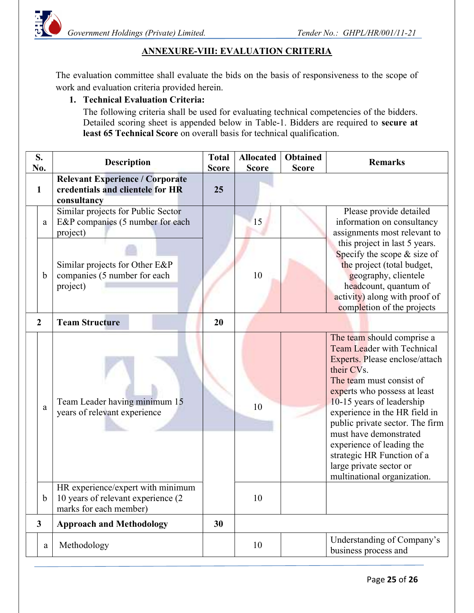

## ANNEXURE-VIII: EVALUATION CRITERIA

The evaluation committee shall evaluate the bids on the basis of responsiveness to the scope of work and evaluation criteria provided herein.

### 1. Technical Evaluation Criteria:

The following criteria shall be used for evaluating technical competencies of the bidders. Detailed scoring sheet is appended below in Table-1. Bidders are required to secure at least 65 Technical Score on overall basis for technical qualification.

| S.<br>No.      | <b>Description</b>                                                                                 | <b>Total</b><br><b>Score</b> | <b>Allocated</b><br><b>Score</b> | <b>Obtained</b><br><b>Score</b> | <b>Remarks</b>                                                                                                                                                                                                                                                                                                                                                                                                              |
|----------------|----------------------------------------------------------------------------------------------------|------------------------------|----------------------------------|---------------------------------|-----------------------------------------------------------------------------------------------------------------------------------------------------------------------------------------------------------------------------------------------------------------------------------------------------------------------------------------------------------------------------------------------------------------------------|
| $\mathbf{1}$   | <b>Relevant Experience / Corporate</b><br>credentials and clientele for HR<br>consultancy          | 25                           |                                  |                                 |                                                                                                                                                                                                                                                                                                                                                                                                                             |
| a              | Similar projects for Public Sector<br>E&P companies (5 number for each<br>project)                 |                              | 15                               |                                 | Please provide detailed<br>information on consultancy<br>assignments most relevant to                                                                                                                                                                                                                                                                                                                                       |
| b              | Similar projects for Other E&P<br>companies (5 number for each<br>project)                         |                              | 10                               |                                 | this project in last 5 years.<br>Specify the scope & size of<br>the project (total budget,<br>geography, clientele<br>headcount, quantum of<br>activity) along with proof of<br>completion of the projects                                                                                                                                                                                                                  |
| $\overline{2}$ | <b>Team Structure</b>                                                                              | 20                           |                                  |                                 |                                                                                                                                                                                                                                                                                                                                                                                                                             |
| a              | Team Leader having minimum 15<br>years of relevant experience<br>HR experience/expert with minimum |                              | 10                               |                                 | The team should comprise a<br><b>Team Leader with Technical</b><br>Experts. Please enclose/attach<br>their CVs.<br>The team must consist of<br>experts who possess at least<br>10-15 years of leadership<br>experience in the HR field in<br>public private sector. The firm<br>must have demonstrated<br>experience of leading the<br>strategic HR Function of a<br>large private sector or<br>multinational organization. |
| b              | 10 years of relevant experience (2<br>marks for each member)                                       |                              | 10                               |                                 |                                                                                                                                                                                                                                                                                                                                                                                                                             |
| $\mathbf{3}$   | <b>Approach and Methodology</b>                                                                    | 30                           |                                  |                                 |                                                                                                                                                                                                                                                                                                                                                                                                                             |
| a              | Methodology                                                                                        |                              | 10                               |                                 | Understanding of Company's<br>business process and                                                                                                                                                                                                                                                                                                                                                                          |